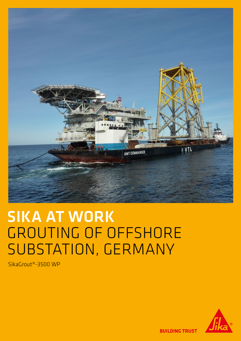

# SIKA AT WORK GROUTING OF OFFSHORE SUBSTATION, GERMANY

SikaGrout®-3500 WP



**BUILDING TRUST**